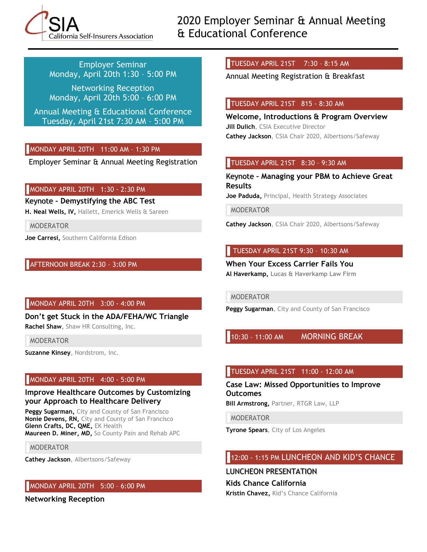California Self-Insurers Association

2020 Employer Seminar & Annual Meeting & Educational Conference

Employer Seminar Monday, April 20th 1:30 – 5:00 PM

Networking Reception Monday, April 20th 5:00 – 6:00 PM

Annual Meeting & Educational Conference Tuesday, April 21st 7:30 AM – 5:00 PM

# MONDAY APRIL 20TH 11:00 AM – 1:30 PM

Employer Seminar & Annual Meeting Registration

# MONDAY APRIL 20TH 1:30 - 2:30 PM

Keynote **– Demystifying the ABC Test**

**H. Neal Wells, IV,** Hallett, Emerick Wells & Sareen

MODERATOR

**Joe Carresi,** Southern California Edison

# AFTERNOON BREAK 2:30 – 3:00 PM

#### MONDAY APRIL 20TH 3:00 - 4:00 PM

**Don't get Stuck in the ADA/FEHA/WC Triangle Rachel Shaw,** Shaw HR Consulting, Inc.

MODERATOR

**Suzanne Kinsey**, Nordstrom, Inc.

# MONDAY APRIL 20TH 4:00 - 5:00 PM

#### **Improve Healthcare Outcomes by Customizing your Approach to Healthcare Delivery**

**Peggy Sugarman,** City and County of San Francisco **Nonie Devens, RN,** City and County of San Francisco **Glenn Crafts, DC, QME,** EK Health **Maureen D. Miner, MD,** So County Pain and Rehab APC

MODERATOR

**Cathey Jackson**, Albertsons/Safeway

# MONDAY APRIL 20TH 5:00 – 6:00 PM

**Networking Reception**

TUESDAY APRIL 21ST 7:30 – 8:15 AM

Annual Meeting Registration & Breakfast

### TUESDAY APRIL 21ST 815 - 8:30 AM

**Welcome, Introductions & Program Overview Jill Dulich**, CSIA Executive Director **Cathey Jackson**, CSIA Chair 2020, Albertsons/Safeway

# TUESDAY APRIL 21ST 8:30 – 9:30 AM

Keynote **– Managing your PBM to Achieve Great Results**

**Joe Paduda,** Principal, Health Strategy Associates

MODERATOR

**Cathey Jackson**, CSIA Chair 2020, Albertsons/Safeway

# TUESDAY APRIL 21ST 9:30 – 10:30 AM

**When Your Excess Carrier Fails You Al Haverkamp, Lucas & Haverkamp Law Firm**

MODERATOR

**Peggy Sugarman**, City and County of San Francisco

10:30 – 11:00 AM MORNING BREAK

# TUESDAY APRIL 21ST 11:00 - 12:00 AM

**Case Law: Missed Opportunities to Improve Outcomes Bill Armstrong,** Partner, RTGR Law, LLP

MODERATOR

**Tyrone Spears**, City of Los Angeles

# 12:00 - 1:15 PM LUNCHEON AND KID'S CHANCE

LUNCHEON PRESENTATION **Kids Chance California**

**Kristin Chavez,** Kid's Chance California